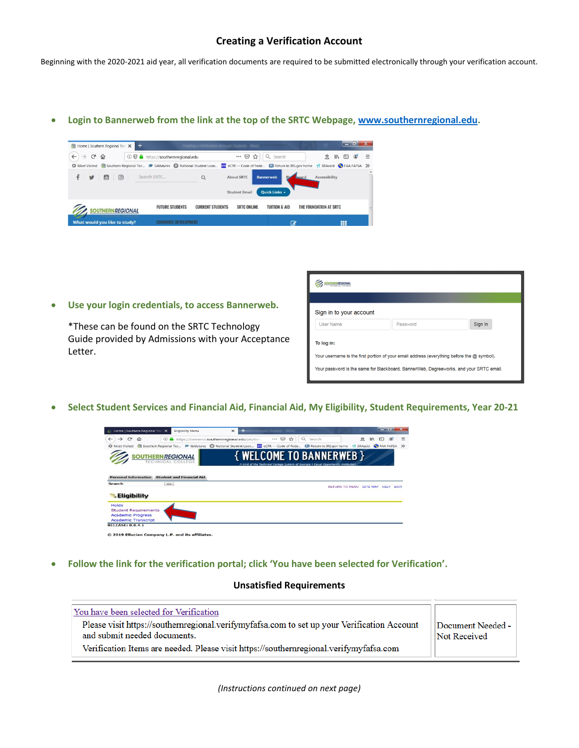# **Creating a Verification Account**

Beginning with the 2020-2021 aid year, all verification documents are required to be submitted electronically through your verification account.

**Login to Bannerweb from the link at the top of the SRTC Webpage, [www.southernregional.edu.](http://www.southernregional.edu/)**



|  | Use your login credentials, to access Bannerweb. |  |
|--|--------------------------------------------------|--|
|  |                                                  |  |

\*These can be found on the SRTC Technology Guide provided by Admissions with your Acceptance Letter.

| <b>OUTHERN/REGIONAL</b>                                                                |                                                                                            |         |
|----------------------------------------------------------------------------------------|--------------------------------------------------------------------------------------------|---------|
| Sign in to your account                                                                |                                                                                            |         |
| <b>User Name</b>                                                                       | Password                                                                                   | Sign In |
| To log in:                                                                             | Your username is the first portion of your email address (everything before the @ symbol). |         |
| Your password is the same for Blackboard, BannerWeb, Degreeworks, and your SRTC email. |                                                                                            |         |

**Select Student Services and Financial Aid, Financial Aid, My Eligibility, Student Requirements, Year 20-21**

| Home   Southern Regional Tec X                          | <b>Eligibility Menu</b>                              | +<br>$\times$                                                                                                                        |          |                                                                                                                      |                       | $-0 x$                         |          |
|---------------------------------------------------------|------------------------------------------------------|--------------------------------------------------------------------------------------------------------------------------------------|----------|----------------------------------------------------------------------------------------------------------------------|-----------------------|--------------------------------|----------|
| G<br>$\leftarrow$<br>$\rightarrow$<br>⇧                 |                                                      | 1 https://bannerss.southernregional.edu/pls/ban                                                                                      | … ☺<br>✿ | $\alpha$<br>Search                                                                                                   | 立                     | <b>IIIX</b><br>O               | $\equiv$ |
|                                                         |                                                      | ☆ Most Visited Southern Regional Tec 产 GAfutures hational Student Loan Exe eCFR - Code of Fede @ Return to IRS.gov home 1 SRAssist < |          |                                                                                                                      |                       |                                |          |
|                                                         | <b>SOUTHERN REGIONAL</b><br><b>TECHNICAL COLLEGE</b> |                                                                                                                                      |          | <b>{ WELCOME TO BANNERWEB }</b><br>A Unit of the Technical College System of Georgia . Equal Opportunity Institution |                       |                                |          |
|                                                         |                                                      |                                                                                                                                      |          |                                                                                                                      |                       |                                |          |
| <b>Personal Information</b><br><b>Search</b>            | <b>Student and Financial Aid</b><br>Go               |                                                                                                                                      |          |                                                                                                                      | <b>RETURN TO MENU</b> | <b>SITE MAP</b><br><b>HELP</b> | EXIT     |
| <b>Eligibility</b>                                      |                                                      |                                                                                                                                      |          |                                                                                                                      |                       |                                |          |
| <b>Holds</b>                                            |                                                      |                                                                                                                                      |          |                                                                                                                      |                       |                                |          |
| <b>Student Requirements</b><br><b>Academic Progress</b> |                                                      |                                                                                                                                      |          |                                                                                                                      |                       |                                |          |

**Follow the link for the verification portal; click 'You have been selected for Verification'.**

#### **Unsatisfied Requirements**

| You have been selected for Verification<br>Please visit https://southernregional.verifymyfafsa.com to set up your Verification Account<br>and submit needed documents.<br>Verification Items are needed. Please visit https://southernregional.verifymyfafsa.com | Document Needed -<br>Not Received |
|------------------------------------------------------------------------------------------------------------------------------------------------------------------------------------------------------------------------------------------------------------------|-----------------------------------|
|------------------------------------------------------------------------------------------------------------------------------------------------------------------------------------------------------------------------------------------------------------------|-----------------------------------|